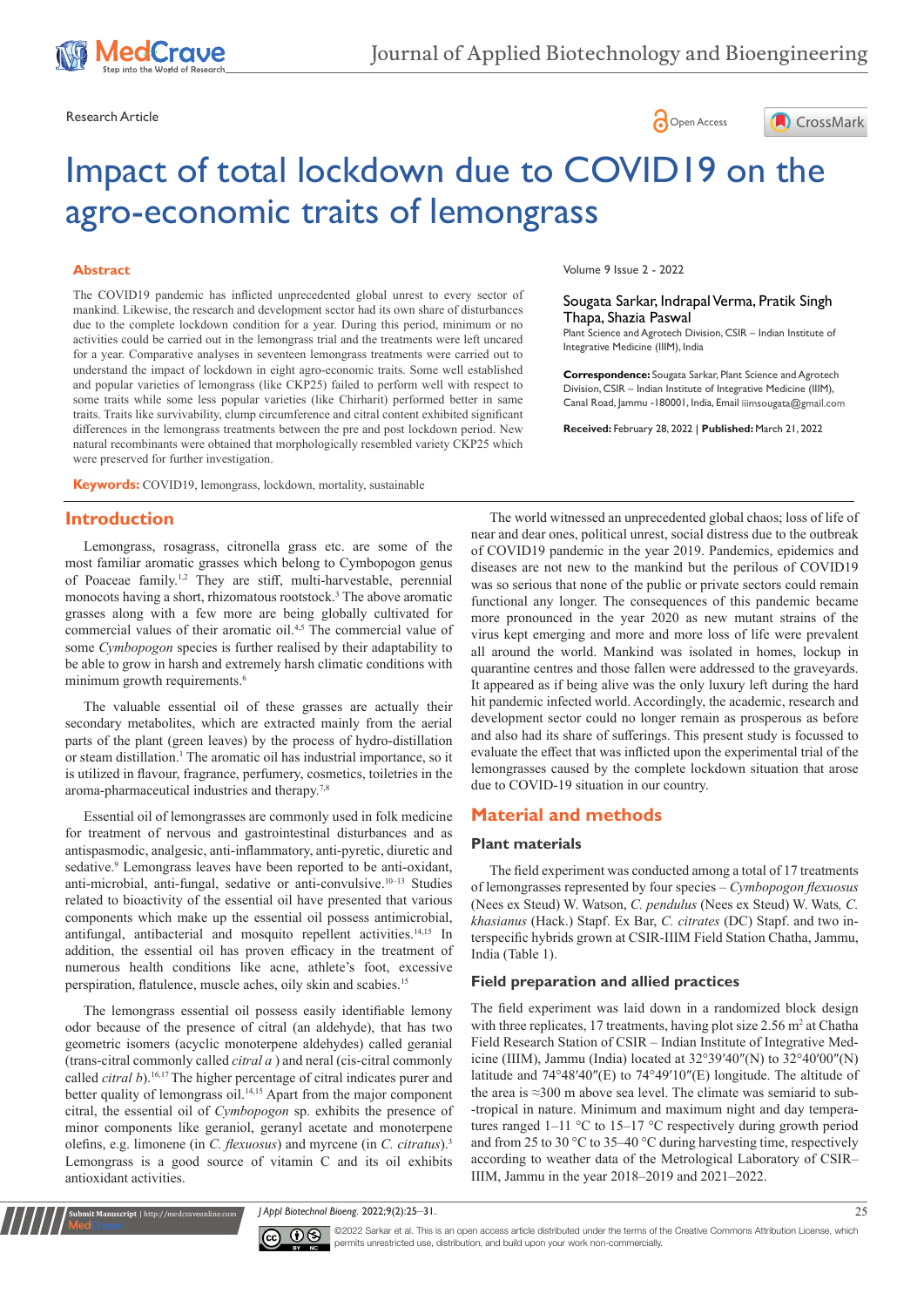





# Impact of total lockdown due to COVID19 on the agro-economic traits of lemongrass

### **Abstract**

The COVID19 pandemic has inflicted unprecedented global unrest to every sector of mankind. Likewise, the research and development sector had its own share of disturbances due to the complete lockdown condition for a year. During this period, minimum or no activities could be carried out in the lemongrass trial and the treatments were left uncared for a year. Comparative analyses in seventeen lemongrass treatments were carried out to understand the impact of lockdown in eight agro-economic traits. Some well established and popular varieties of lemongrass (like CKP25) failed to perform well with respect to some traits while some less popular varieties (like Chirharit) performed better in same traits. Traits like survivability, clump circumference and citral content exhibited significant differences in the lemongrass treatments between the pre and post lockdown period. New natural recombinants were obtained that morphologically resembled variety CKP25 which were preserved for further investigation.

**Keywords:** COVID19, lemongrass, lockdown, mortality, sustainable

## **Introduction**

Lemongrass, rosagrass, citronella grass etc. are some of the most familiar aromatic grasses which belong to Cymbopogon genus of Poaceae family.1,2 They are stiff, multi-harvestable, perennial monocots having a short, rhizomatous rootstock.<sup>3</sup> The above aromatic grasses along with a few more are being globally cultivated for commercial values of their aromatic oil.4,5 The commercial value of some *Cymbopogon* species is further realised by their adaptability to be able to grow in harsh and extremely harsh climatic conditions with minimum growth requirements.<sup>6</sup>

The valuable essential oil of these grasses are actually their secondary metabolites, which are extracted mainly from the aerial parts of the plant (green leaves) by the process of hydro-distillation or steam distillation.<sup>1</sup> The aromatic oil has industrial importance, so it is utilized in flavour, fragrance, perfumery, cosmetics, toiletries in the aroma-pharmaceutical industries and therapy.7,8

Essential oil of lemongrasses are commonly used in folk medicine for treatment of nervous and gastrointestinal disturbances and as antispasmodic, analgesic, anti-inflammatory, anti-pyretic, diuretic and sedative.<sup>9</sup> Lemongrass leaves have been reported to be anti-oxidant, anti-microbial, anti-fungal, sedative or anti-convulsive.10–13 Studies related to bioactivity of the essential oil have presented that various components which make up the essential oil possess antimicrobial, antifungal, antibacterial and mosquito repellent activities.<sup>14,15</sup> In addition, the essential oil has proven efficacy in the treatment of numerous health conditions like acne, athlete's foot, excessive perspiration, flatulence, muscle aches, oily skin and scabies.<sup>15</sup>

The lemongrass essential oil possess easily identifiable lemony odor because of the presence of citral (an aldehyde), that has two geometric isomers (acyclic monoterpene aldehydes) called geranial (trans-citral commonly called *citral a* ) and neral (cis-citral commonly called *citral b*).<sup>16,17</sup> The higher percentage of citral indicates purer and better quality of lemongrass oil.<sup>14,15</sup> Apart from the major component citral, the essential oil of *Cymbopogon* sp. exhibits the presence of minor components like geraniol, geranyl acetate and monoterpene olefins, e.g. limonene (in *C. flexuosus*) and myrcene (in *C. citratus*).<sup>3</sup> Lemongrass is a good source of vitamin C and its oil exhibits antioxidant activities.

**<u>it Man</u>uscript** | http://medcraveonline.co

Volume 9 Issue 2 - 2022

Sougata Sarkar, Indrapal Verma, Pratik Singh Thapa, Shazia Paswal

Plant Science and Agrotech Division, CSIR – Indian Institute of Integrative Medicine (IIIM), India

**Correspondence:** Sougata Sarkar, Plant Science and Agrotech Division, CSIR – Indian Institute of Integrative Medicine (IIIM), Canal Road, Jammu -180001, India, Email iiimsougata@gmail.com

**Received:** February 28, 2022 | **Published:** March 21, 2022

The world witnessed an unprecedented global chaos; loss of life of near and dear ones, political unrest, social distress due to the outbreak of COVID19 pandemic in the year 2019. Pandemics, epidemics and diseases are not new to the mankind but the perilous of COVID19 was so serious that none of the public or private sectors could remain functional any longer. The consequences of this pandemic became more pronounced in the year 2020 as new mutant strains of the virus kept emerging and more and more loss of life were prevalent all around the world. Mankind was isolated in homes, lockup in quarantine centres and those fallen were addressed to the graveyards. It appeared as if being alive was the only luxury left during the hard hit pandemic infected world. Accordingly, the academic, research and development sector could no longer remain as prosperous as before and also had its share of sufferings. This present study is focussed to evaluate the effect that was inflicted upon the experimental trial of the lemongrasses caused by the complete lockdown situation that arose due to COVID-19 situation in our country.

## **Material and methods**

#### **Plant materials**

The field experiment was conducted among a total of 17 treatments of lemongrasses represented by four species – *Cymbopogon flexuosus*  (Nees ex Steud) W. Watson, *C. pendulus* (Nees ex Steud) W. Wats*, C. khasianus* (Hack.) Stapf. Ex Bar, *C. citrates* (DC) Stapf. and two interspecific hybrids grown at CSIR-IIIM Field Station Chatha, Jammu, India ([Table 1](https://elsevier.proofcentral.com/en-us/index.html?token=9bwaf01c1b61470fa0044c4acb5371#t0005-proof)).

#### **Field preparation and allied practices**

The field experiment was laid down in a randomized block design with three replicates, 17 treatments, having plot size  $2.56$  m<sup>2</sup> at Chatha Field Research Station of CSIR – Indian Institute of Integrative Medicine (IIIM), Jammu (India) located at 32°39′40″(N) to 32°40′00″(N) latitude and 74°48′40″(E) to 74°49′10″(E) longitude. The altitude of the area is ≈300 m above sea level. The climate was semiarid to sub- -tropical in nature. Minimum and maximum night and day temperatures ranged 1–11 °C to 15–17 °C respectively during growth period and from 25 to 30 °C to 35–40 °C during harvesting time, respectively according to weather data of the Metrological Laboratory of CSIR– IIIM, Jammu in the year 2018–2019 and 2021–2022.

*J Appl Biotechnol Bioeng.* 2022;9(2):25‒31. 25



©2022 Sarkar et al. This is an open access article distributed under the terms of the [Creative Commons Attribution License,](https://creativecommons.org/licenses/by-nc/4.0/) which permits unrestricted use, distribution, and build upon your work non-commercially.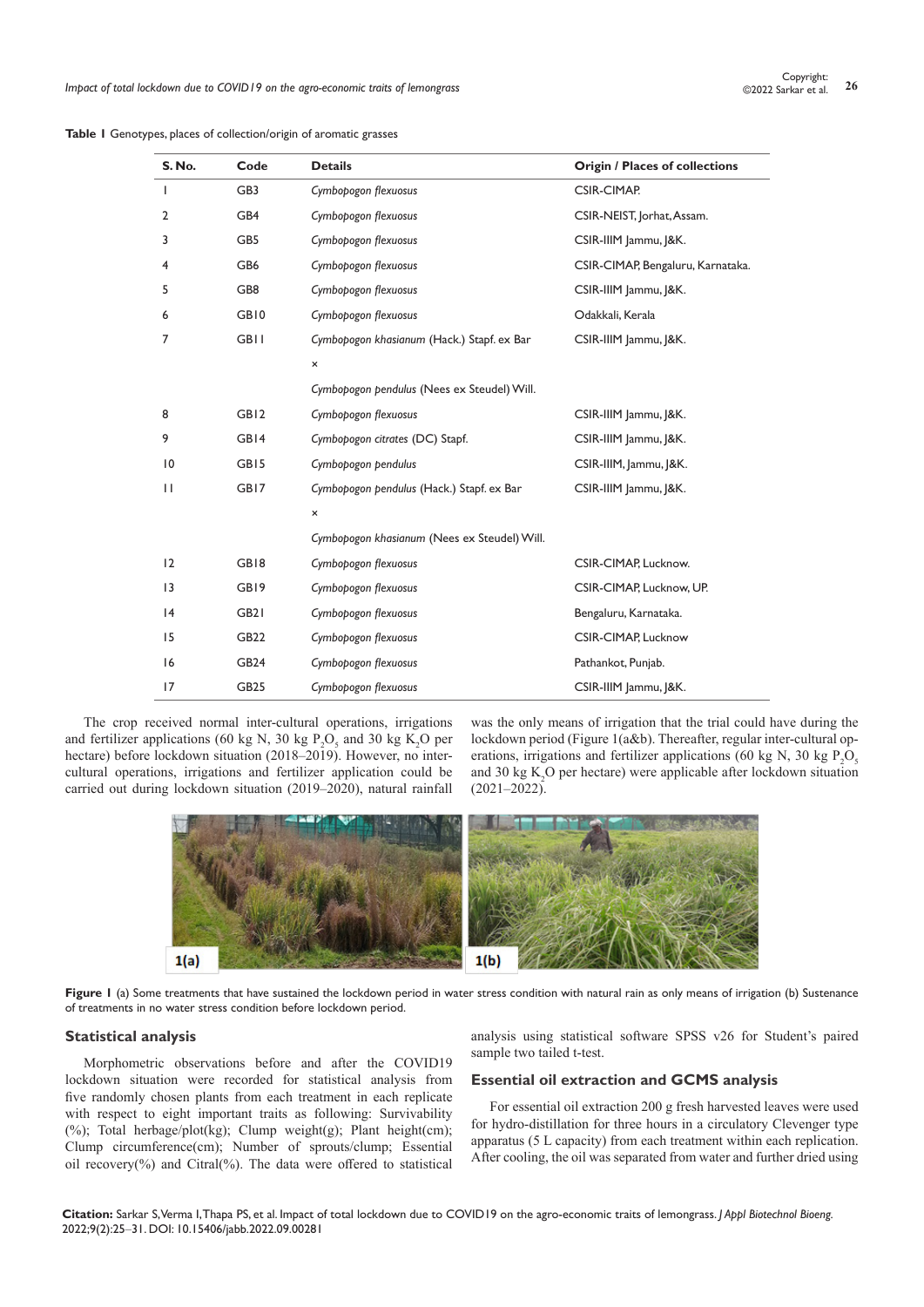| <b>S. No.</b>   | Code             | <b>Details</b>                               | <b>Origin / Places of collections</b> |  |  |
|-----------------|------------------|----------------------------------------------|---------------------------------------|--|--|
| T               | GB3              | Cymbopogon flexuosus                         | CSIR-CIMAP.                           |  |  |
| 2               | GB4              | Cymbopogon flexuosus                         | CSIR-NEIST, Jorhat, Assam.            |  |  |
| 3               | GB5              | Cymbopogon flexuosus                         | CSIR-IIIM Jammu, J&K.                 |  |  |
| 4               | GB6              | Cymbopogon flexuosus                         | CSIR-CIMAP, Bengaluru, Karnataka.     |  |  |
| 5               | GB8              | Cymbopogon flexuosus                         | CSIR-IIIM Jammu, J&K.                 |  |  |
| 6               | GB10             | Cymbopogon flexuosus                         | Odakkali, Kerala                      |  |  |
| 7               | <b>GBII</b>      | Cymbopogon khasianum (Hack.) Stapf. ex Bar   | CSIR-IIIM Jammu, J&K.                 |  |  |
|                 |                  | ×                                            |                                       |  |  |
|                 |                  | Cymbopogon pendulus (Nees ex Steudel) Will.  |                                       |  |  |
| 8               | GB <sub>12</sub> | Cymbopogon flexuosus                         | CSIR-IIIM Jammu, J&K.                 |  |  |
| 9               | GB14             | Cymbopogon citrates (DC) Stapf.              | CSIR-IIIM Jammu, J&K.                 |  |  |
| $\overline{10}$ | GB <sub>15</sub> | Cymbopogon pendulus                          | CSIR-IIIM, Jammu, J&K.                |  |  |
| П               | GB17             | Cymbopogon pendulus (Hack.) Stapf. ex Bar    | CSIR-IIIM Jammu, J&K.                 |  |  |
|                 |                  | $\pmb{\times}$                               |                                       |  |  |
|                 |                  | Cymbopogon khasianum (Nees ex Steudel) Will. |                                       |  |  |
| 12              | GB18             | Cymbopogon flexuosus                         | CSIR-CIMAP, Lucknow.                  |  |  |
| 13              | GB19             | Cymbopogon flexuosus                         | CSIR-CIMAP, Lucknow, UP.              |  |  |
| 4               | GB <sub>2</sub>  | Cymbopogon flexuosus                         | Bengaluru, Karnataka.                 |  |  |
| 15              | GB22             | Cymbopogon flexuosus                         | <b>CSIR-CIMAP, Lucknow</b>            |  |  |
| 16              | GB <sub>24</sub> | Cymbopogon flexuosus                         | Pathankot, Punjab.                    |  |  |
| 17              | <b>GB25</b>      | Cymbopogon flexuosus                         | CSIR-IIIM Jammu, J&K.                 |  |  |

**Table 1** Genotypes, places of collection/origin of aromatic grasses

The crop received normal inter-cultural operations, irrigations and fertilizer applications (60 kg N, 30 kg  $P_2O_5$  and 30 kg K<sub>2</sub>O per hectare) before lockdown situation (2018–2019). However, no intercultural operations, irrigations and fertilizer application could be carried out during lockdown situation (2019–2020), natural rainfall was the only means of irrigation that the trial could have during the lockdown period (Figure 1(a&b). Thereafter, regular inter-cultural operations, irrigations and fertilizer applications (60 kg N, 30 kg  $P_2O_5$ and 30 kg  $K_2O$  per hectare) were applicable after lockdown situation  $(2021-2022)$ .



Figure 1 (a) Some treatments that have sustained the lockdown period in water stress condition with natural rain as only means of irrigation (b) Sustenance of treatments in no water stress condition before lockdown period.

#### **Statistical analysis**

Morphometric observations before and after the COVID19 lockdown situation were recorded for statistical analysis from five randomly chosen plants from each treatment in each replicate with respect to eight important traits as following: Survivability (%); Total herbage/plot(kg); Clump weight(g); Plant height(cm); Clump circumference(cm); Number of sprouts/clump; Essential oil recovery(%) and Citral(%). The data were offered to statistical

analysis using statistical software SPSS v26 for Student's paired sample two tailed t-test.

## **Essential oil extraction and GCMS analysis**

For essential oil extraction 200 g fresh harvested leaves were used for hydro-distillation for three hours in a circulatory Clevenger type apparatus (5 L capacity) from each treatment within each replication. After cooling, the oil was separated from water and further dried using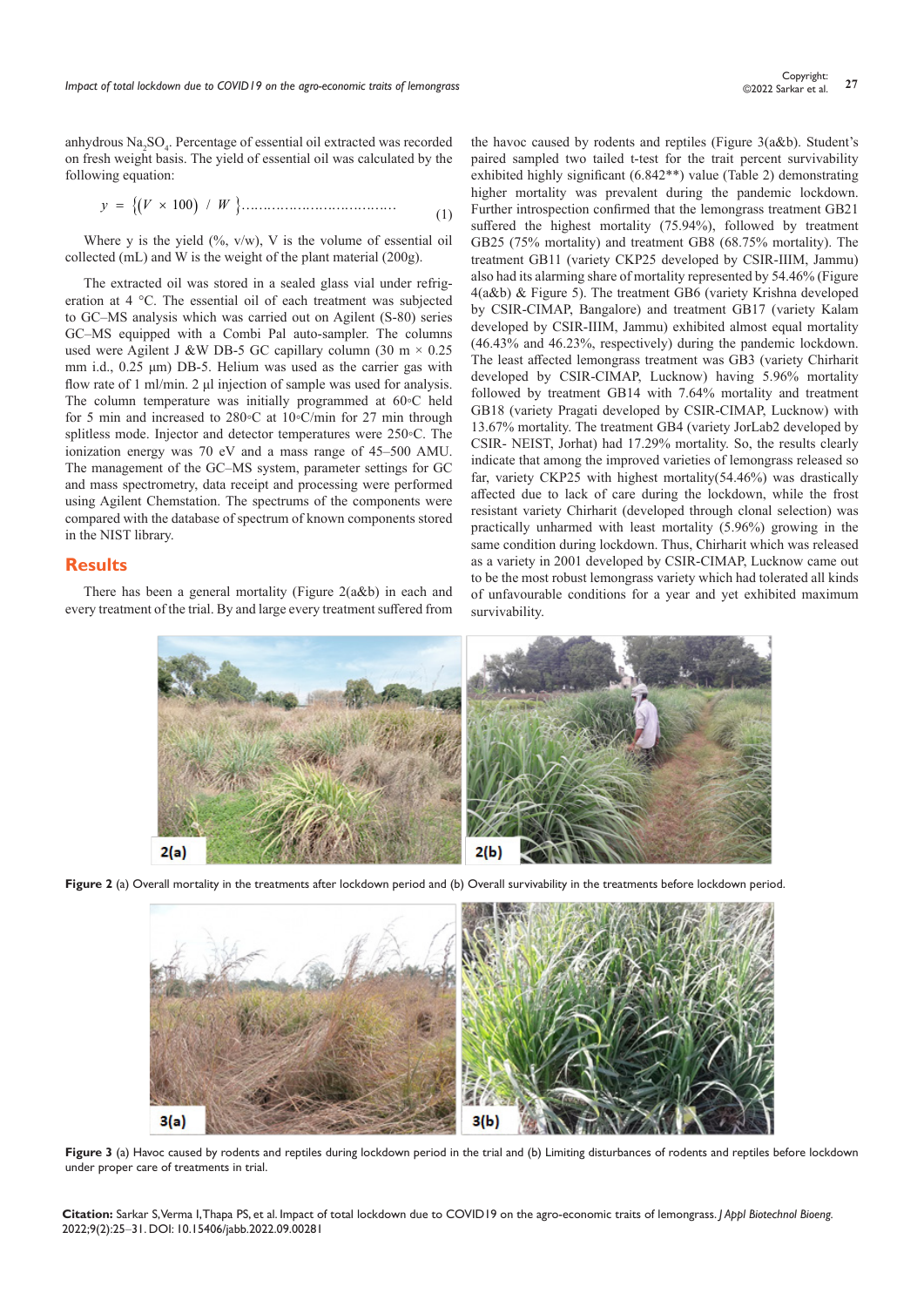anhydrous Na<sub>2</sub>SO<sub>4</sub>. Percentage of essential oil extracted was recorded on fresh weight basis. The yield of essential oil was calculated by the following equation:

*yV W* 100 / = × {( ) }……………………………… (1)

Where y is the yield  $(\%$ , v/w), V is the volume of essential oil collected (mL) and W is the weight of the plant material (200g).

The extracted oil was stored in a sealed glass vial under refrigeration at 4 °C. The essential oil of each treatment was subjected to GC–MS analysis which was carried out on Agilent (S-80) series GC–MS equipped with a Combi Pal auto-sampler. The columns used were Agilent J &W DB-5 GC capillary column (30 m  $\times$  0.25 mm i.d., 0.25 μm) DB-5. Helium was used as the carrier gas with flow rate of 1 ml/min. 2 μl injection of sample was used for analysis. The column temperature was initially programmed at 60◦C held for 5 min and increased to 280◦C at 10◦C/min for 27 min through splitless mode. Injector and detector temperatures were 250◦C. The ionization energy was 70 eV and a mass range of 45–500 AMU. The management of the GC–MS system, parameter settings for GC and mass spectrometry, data receipt and processing were performed using Agilent Chemstation. The spectrums of the components were compared with the database of spectrum of known components stored in the NIST library.

#### **Results**

There has been a general mortality (Figure 2(a&b) in each and every treatment of the trial. By and large every treatment suffered from the havoc caused by rodents and reptiles (Figure 3(a&b). Student's paired sampled two tailed t-test for the trait percent survivability exhibited highly significant (6.842\*\*) value (Table 2) demonstrating higher mortality was prevalent during the pandemic lockdown. Further introspection confirmed that the lemongrass treatment GB21 suffered the highest mortality (75.94%), followed by treatment GB25 (75% mortality) and treatment GB8 (68.75% mortality). The treatment GB11 (variety CKP25 developed by CSIR-IIIM, Jammu) also had its alarming share of mortality represented by 54.46% (Figure 4(a&b) & Figure 5). The treatment GB6 (variety Krishna developed by CSIR-CIMAP, Bangalore) and treatment GB17 (variety Kalam developed by CSIR-IIIM, Jammu) exhibited almost equal mortality (46.43% and 46.23%, respectively) during the pandemic lockdown. The least affected lemongrass treatment was GB3 (variety Chirharit developed by CSIR-CIMAP, Lucknow) having 5.96% mortality followed by treatment GB14 with 7.64% mortality and treatment GB18 (variety Pragati developed by CSIR-CIMAP, Lucknow) with 13.67% mortality. The treatment GB4 (variety JorLab2 developed by CSIR- NEIST, Jorhat) had 17.29% mortality. So, the results clearly indicate that among the improved varieties of lemongrass released so far, variety CKP25 with highest mortality(54.46%) was drastically affected due to lack of care during the lockdown, while the frost resistant variety Chirharit (developed through clonal selection) was practically unharmed with least mortality (5.96%) growing in the same condition during lockdown. Thus, Chirharit which was released as a variety in 2001 developed by CSIR-CIMAP, Lucknow came out to be the most robust lemongrass variety which had tolerated all kinds of unfavourable conditions for a year and yet exhibited maximum survivability.



Figure 2 (a) Overall mortality in the treatments after lockdown period and (b) Overall survivability in the treatments before lockdown period.



**Figure 3** (a) Havoc caused by rodents and reptiles during lockdown period in the trial and (b) Limiting disturbances of rodents and reptiles before lockdown under proper care of treatments in trial.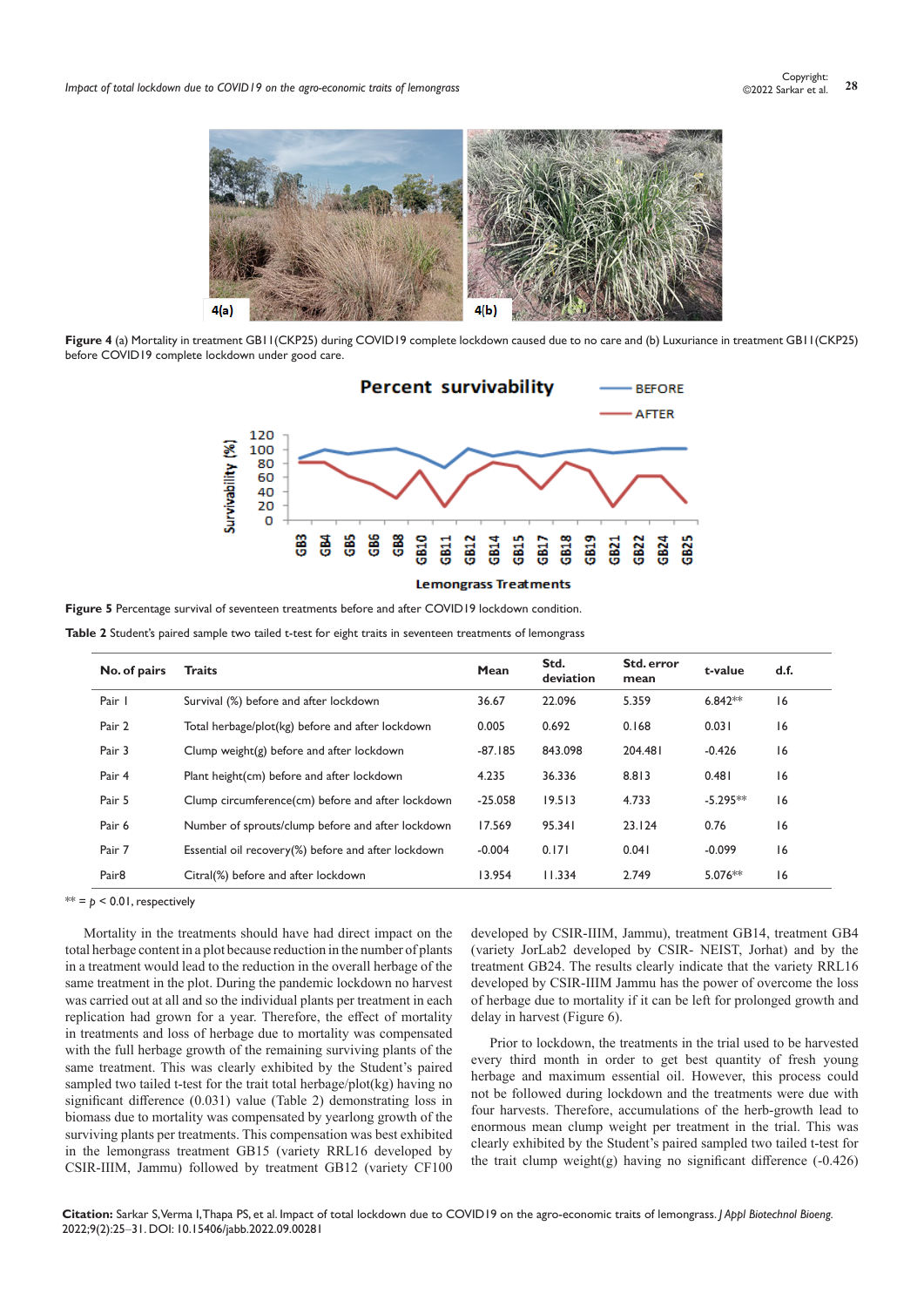

**Figure 4** (a) Mortality in treatment GB11(CKP25) during COVID19 complete lockdown caused due to no care and (b) Luxuriance in treatment GB11(CKP25) before COVID19 complete lockdown under good care.



**Figure 5** Percentage survival of seventeen treatments before and after COVID19 lockdown condition.

**Table 2** Student's paired sample two tailed t-test for eight traits in seventeen treatments of lemongrass

| No. of pairs      | <b>Traits</b>                                       | Mean      | Std.<br>deviation<br>22.096 | Std. error<br>mean<br>5.359 | t-value<br>$6.842**$ | d.f.<br>16 |
|-------------------|-----------------------------------------------------|-----------|-----------------------------|-----------------------------|----------------------|------------|
| Pair I            | Survival (%) before and after lockdown              | 36.67     |                             |                             |                      |            |
| Pair 2            | Total herbage/plot(kg) before and after lockdown    | 0.005     | 0.692                       | 0.168                       | 0.031                | 16         |
| Pair 3            | Clump weight(g) before and after lockdown           | $-87.185$ | 843.098                     | 204.481                     | $-0.426$             | 16         |
| Pair 4            | Plant height(cm) before and after lockdown          | 4.235     | 36.336                      | 8.813                       | 0.481                | 16         |
| Pair 5            | Clump circumference(cm) before and after lockdown   | $-25.058$ | 19.513                      | 4.733                       | $-5.295**$           | 16         |
| Pair 6            | Number of sprouts/clump before and after lockdown   | 17.569    | 95.341                      | 23.124                      | 0.76                 | 16         |
| Pair 7            | Essential oil recovery(%) before and after lockdown | $-0.004$  | 0.171                       | 0.041                       | $-0.099$             | 16         |
| Pair <sub>8</sub> | Citral(%) before and after lockdown                 | 13.954    | 11.334                      | 2.749                       | $5.076**$            | 16         |

 $** = p < 0.01$ , respectively

Mortality in the treatments should have had direct impact on the total herbage content in a plot because reduction in the number of plants in a treatment would lead to the reduction in the overall herbage of the same treatment in the plot. During the pandemic lockdown no harvest was carried out at all and so the individual plants per treatment in each replication had grown for a year. Therefore, the effect of mortality in treatments and loss of herbage due to mortality was compensated with the full herbage growth of the remaining surviving plants of the same treatment. This was clearly exhibited by the Student's paired sampled two tailed t-test for the trait total herbage/plot(kg) having no significant difference (0.031) value (Table 2) demonstrating loss in biomass due to mortality was compensated by yearlong growth of the surviving plants per treatments. This compensation was best exhibited in the lemongrass treatment GB15 (variety RRL16 developed by CSIR-IIIM, Jammu) followed by treatment GB12 (variety CF100

developed by CSIR-IIIM, Jammu), treatment GB14, treatment GB4 (variety JorLab2 developed by CSIR- NEIST, Jorhat) and by the treatment GB24. The results clearly indicate that the variety RRL16 developed by CSIR-IIIM Jammu has the power of overcome the loss of herbage due to mortality if it can be left for prolonged growth and delay in harvest (Figure 6).

Prior to lockdown, the treatments in the trial used to be harvested every third month in order to get best quantity of fresh young herbage and maximum essential oil. However, this process could not be followed during lockdown and the treatments were due with four harvests. Therefore, accumulations of the herb-growth lead to enormous mean clump weight per treatment in the trial. This was clearly exhibited by the Student's paired sampled two tailed t-test for the trait clump weight(g) having no significant difference (-0.426)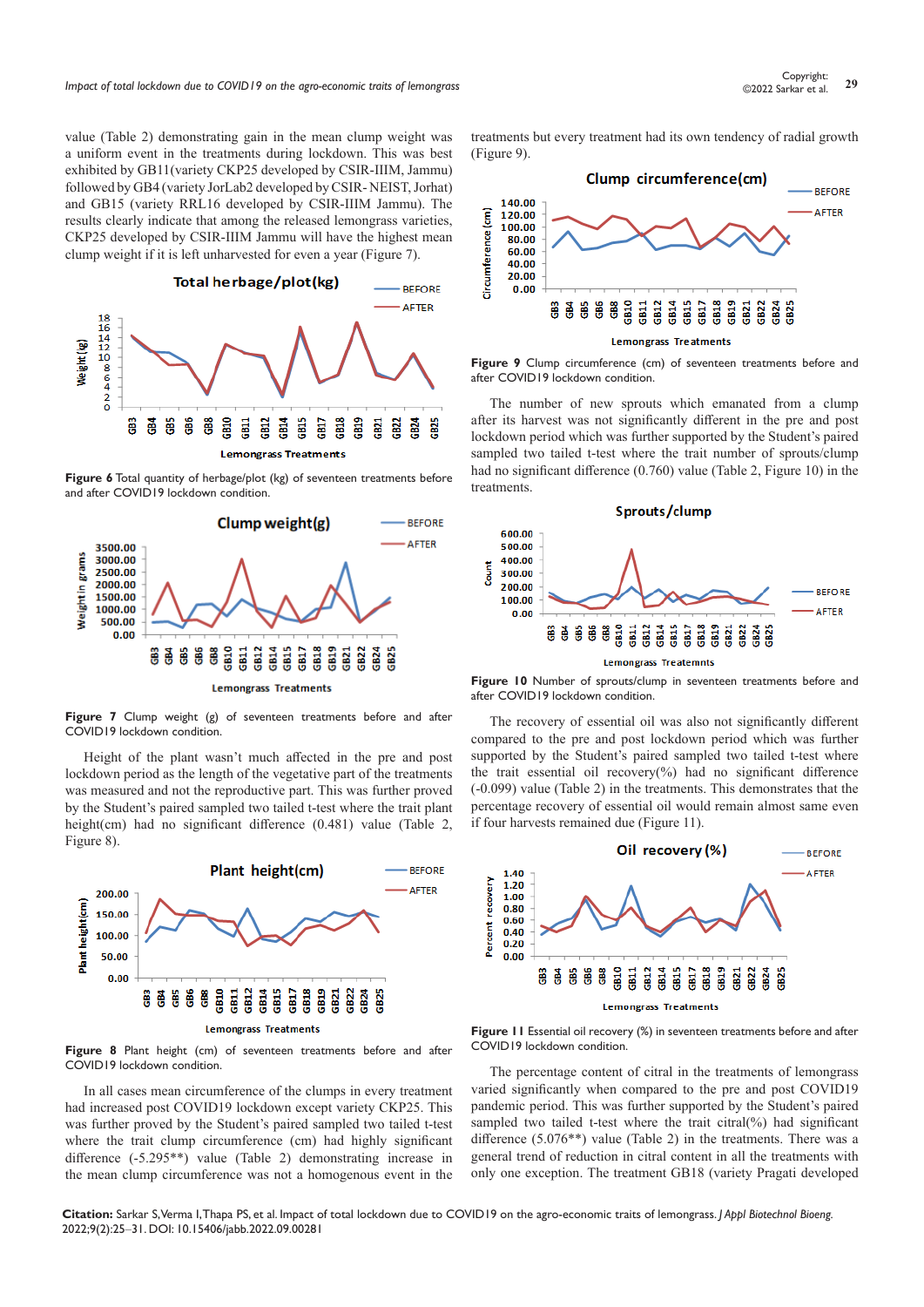*Impact of total lockdown due to COVID19 on the agro-economic traits of lemongrass* **29** Copyright: 29<br>29 Copyright: 29 Copyright: 29 Copyright: 29 Copyright: 29 Copyright: 29 Copyright: 29 Copyright: 29 Copyright: 29

value (Table 2) demonstrating gain in the mean clump weight was a uniform event in the treatments during lockdown. This was best exhibited by GB11(variety CKP25 developed by CSIR-IIIM, Jammu) followed by GB4 (variety JorLab2 developed by CSIR- NEIST, Jorhat) and GB15 (variety RRL16 developed by CSIR-IIIM Jammu). The results clearly indicate that among the released lemongrass varieties, CKP25 developed by CSIR-IIIM Jammu will have the highest mean clump weight if it is left unharvested for even a year (Figure 7).



**Figure 6** Total quantity of herbage/plot (kg) of seventeen treatments before and after COVID19 lockdown condition.



**Figure 7** Clump weight (g) of seventeen treatments before and after COVID19 lockdown condition.

Height of the plant wasn't much affected in the pre and post lockdown period as the length of the vegetative part of the treatments was measured and not the reproductive part. This was further proved by the Student's paired sampled two tailed t-test where the trait plant height(cm) had no significant difference (0.481) value (Table 2, Figure 8).



**Figure 8** Plant height (cm) of seventeen treatments before and after COVID19 lockdown condition.

In all cases mean circumference of the clumps in every treatment had increased post COVID19 lockdown except variety CKP25. This was further proved by the Student's paired sampled two tailed t-test where the trait clump circumference (cm) had highly significant difference (-5.295\*\*) value (Table 2) demonstrating increase in the mean clump circumference was not a homogenous event in the treatments but every treatment had its own tendency of radial growth (Figure 9).



**Figure 9** Clump circumference (cm) of seventeen treatments before and after COVID19 lockdown condition.

The number of new sprouts which emanated from a clump after its harvest was not significantly different in the pre and post lockdown period which was further supported by the Student's paired sampled two tailed t-test where the trait number of sprouts/clump had no significant difference (0.760) value (Table 2, Figure 10) in the treatments.



**Figure 10** Number of sprouts/clump in seventeen treatments before and after COVID19 lockdown condition.

The recovery of essential oil was also not significantly different compared to the pre and post lockdown period which was further supported by the Student's paired sampled two tailed t-test where the trait essential oil recovery( $\%$ ) had no significant difference (-0.099) value (Table 2) in the treatments. This demonstrates that the percentage recovery of essential oil would remain almost same even if four harvests remained due (Figure 11).



**Figure 11** Essential oil recovery (%) in seventeen treatments before and after COVID19 lockdown condition.

The percentage content of citral in the treatments of lemongrass varied significantly when compared to the pre and post COVID19 pandemic period. This was further supported by the Student's paired sampled two tailed t-test where the trait citral(%) had significant difference (5.076\*\*) value (Table 2) in the treatments. There was a general trend of reduction in citral content in all the treatments with only one exception. The treatment GB18 (variety Pragati developed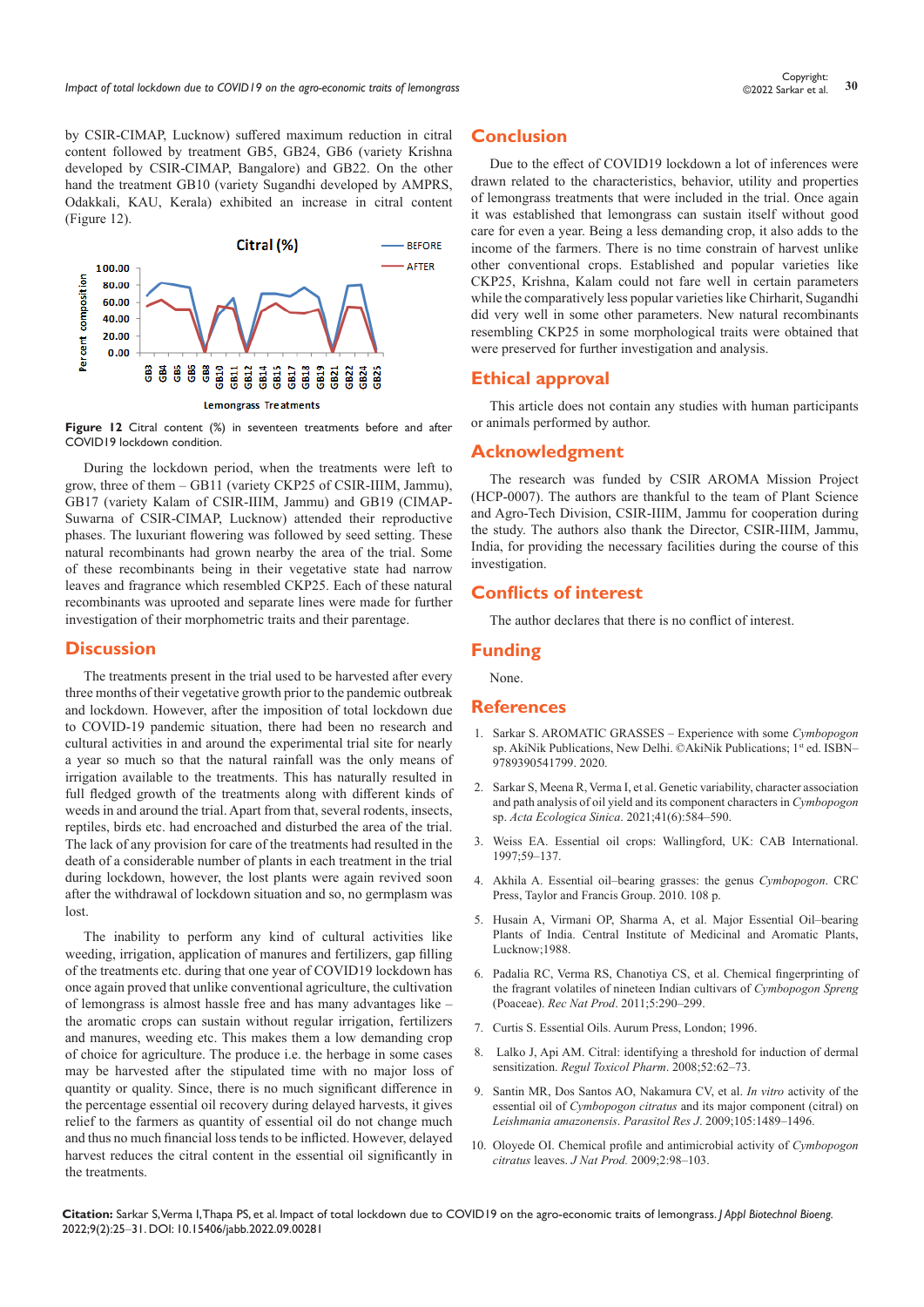by CSIR-CIMAP, Lucknow) suffered maximum reduction in citral content followed by treatment GB5, GB24, GB6 (variety Krishna developed by CSIR-CIMAP, Bangalore) and GB22. On the other hand the treatment GB10 (variety Sugandhi developed by AMPRS, Odakkali, KAU, Kerala) exhibited an increase in citral content (Figure 12).



**Figure 12** Citral content (%) in seventeen treatments before and after COVID19 lockdown condition.

During the lockdown period, when the treatments were left to grow, three of them – GB11 (variety CKP25 of CSIR-IIIM, Jammu), GB17 (variety Kalam of CSIR-IIIM, Jammu) and GB19 (CIMAP-Suwarna of CSIR-CIMAP, Lucknow) attended their reproductive phases. The luxuriant flowering was followed by seed setting. These natural recombinants had grown nearby the area of the trial. Some of these recombinants being in their vegetative state had narrow leaves and fragrance which resembled CKP25. Each of these natural recombinants was uprooted and separate lines were made for further investigation of their morphometric traits and their parentage.

#### **Discussion**

The treatments present in the trial used to be harvested after every three months of their vegetative growth prior to the pandemic outbreak and lockdown. However, after the imposition of total lockdown due to COVID-19 pandemic situation, there had been no research and cultural activities in and around the experimental trial site for nearly a year so much so that the natural rainfall was the only means of irrigation available to the treatments. This has naturally resulted in full fledged growth of the treatments along with different kinds of weeds in and around the trial. Apart from that, several rodents, insects, reptiles, birds etc. had encroached and disturbed the area of the trial. The lack of any provision for care of the treatments had resulted in the death of a considerable number of plants in each treatment in the trial during lockdown, however, the lost plants were again revived soon after the withdrawal of lockdown situation and so, no germplasm was lost.

The inability to perform any kind of cultural activities like weeding, irrigation, application of manures and fertilizers, gap filling of the treatments etc. during that one year of COVID19 lockdown has once again proved that unlike conventional agriculture, the cultivation of lemongrass is almost hassle free and has many advantages like – the aromatic crops can sustain without regular irrigation, fertilizers and manures, weeding etc. This makes them a low demanding crop of choice for agriculture. The produce i.e. the herbage in some cases may be harvested after the stipulated time with no major loss of quantity or quality. Since, there is no much significant difference in the percentage essential oil recovery during delayed harvests, it gives relief to the farmers as quantity of essential oil do not change much and thus no much financial loss tends to be inflicted. However, delayed harvest reduces the citral content in the essential oil significantly in the treatments.

## **Conclusion**

Due to the effect of COVID19 lockdown a lot of inferences were drawn related to the characteristics, behavior, utility and properties of lemongrass treatments that were included in the trial. Once again it was established that lemongrass can sustain itself without good care for even a year. Being a less demanding crop, it also adds to the income of the farmers. There is no time constrain of harvest unlike other conventional crops. Established and popular varieties like CKP25, Krishna, Kalam could not fare well in certain parameters while the comparatively less popular varieties like Chirharit, Sugandhi did very well in some other parameters. New natural recombinants resembling CKP25 in some morphological traits were obtained that were preserved for further investigation and analysis.

#### **Ethical approval**

This article does not contain any studies with human participants or animals performed by author.

#### **Acknowledgment**

The research was funded by CSIR AROMA Mission Project (HCP-0007). The authors are thankful to the team of Plant Science and Agro-Tech Division, CSIR-IIIM, Jammu for cooperation during the study. The authors also thank the Director, CSIR-IIIM, Jammu, India, for providing the necessary facilities during the course of this investigation.

#### **Conflicts of interest**

The author declares that there is no conflict of interest.

#### **Funding**

None.

## **References**

- 1. [Sarkar S. AROMATIC GRASSES Experience with some](https://www.akinik.com/products/1030/aromatic-grasses-experience-with-some-cymbopogon-sp) *Cymbopogon* [sp. AkiNik Publications, New Delhi. ©AkiNik Publications; 1](https://www.akinik.com/products/1030/aromatic-grasses-experience-with-some-cymbopogon-sp)st ed. ISBN-[9789390541799. 2020.](https://www.akinik.com/products/1030/aromatic-grasses-experience-with-some-cymbopogon-sp)
- 2. [Sarkar S, Meena R, Verma I, et al. Genetic variability, character association](https://pubag.nal.usda.gov/catalog/7458972)  [and path analysis of oil yield and its component characters in](https://pubag.nal.usda.gov/catalog/7458972) *Cymbopogon* sp. *[Acta Ecologica Sinica](https://pubag.nal.usda.gov/catalog/7458972)*. 2021;41(6):584–590.
- 3. [Weiss EA. Essential oil crops: Wallingford, UK: CAB International.](https://www.cabdirect.org/cabdirect/abstract/19970300762)  [1997;59–137.](https://www.cabdirect.org/cabdirect/abstract/19970300762)
- 4. [Akhila A. Essential oil–bearing grasses: the genus](https://www.routledge.com/Essential-Oil-Bearing-Grasses-The-genus-Cymbopogon/Akhila/p/book/9780367446031) *Cymbopogon*. CRC [Press, Taylor and Francis Group. 2010. 108 p.](https://www.routledge.com/Essential-Oil-Bearing-Grasses-The-genus-Cymbopogon/Akhila/p/book/9780367446031)
- 5. [Husain A, Virmani OP, Sharma A, et al. Major Essential Oil–bearing](https://www.cabi.org/ISC/abstract/19890392995)  [Plants of India. Central Institute of Medicinal and Aromatic Plants,](https://www.cabi.org/ISC/abstract/19890392995)  [Lucknow;1988.](https://www.cabi.org/ISC/abstract/19890392995)
- 6. [Padalia RC, Verma RS, Chanotiya CS, et al. Chemical fingerprinting of](https://www.acgpubs.org/doc/2018080617024637_RNP-1011_404.pdf)  [the fragrant volatiles of nineteen Indian cultivars of](https://www.acgpubs.org/doc/2018080617024637_RNP-1011_404.pdf) *Cymbopogon Spreng* (Poaceae). *Rec Nat Prod*[. 2011;5:290–299.](https://www.acgpubs.org/doc/2018080617024637_RNP-1011_404.pdf)
- 7. [Curtis S. Essential Oils. Aurum Press, London; 1996.](https://www.alibris.com/search/books/isbn/9781854104137)
- 8. [Lalko J, Api AM. Citral: identifying a threshold for induction of dermal](https://pubmed.ncbi.nlm.nih.gov/18353514/)  sensitization. *[Regul Toxicol Pharm](https://pubmed.ncbi.nlm.nih.gov/18353514/)*. 2008;52:62–73.
- 9. [Santin MR, Dos Santos AO, Nakamura CV, et al.](https://pubmed.ncbi.nlm.nih.gov/19669793/) *In vitro* activity of the essential oil of *Cymbopogon citratus* [and its major component \(citral\) on](https://pubmed.ncbi.nlm.nih.gov/19669793/)  *[Leishmania amazonensis](https://pubmed.ncbi.nlm.nih.gov/19669793/)*. *Parasitol Res J*. 2009;105:1489–1496.
- 10. [Oloyede OI. Chemical profile and antimicrobial activity of](https://www.cabdirect.org/cabdirect/abstract/20103254465) *Cymbopogon citratus* leaves. *J Nat Prod.* [2009;2:98–103.](https://www.cabdirect.org/cabdirect/abstract/20103254465)